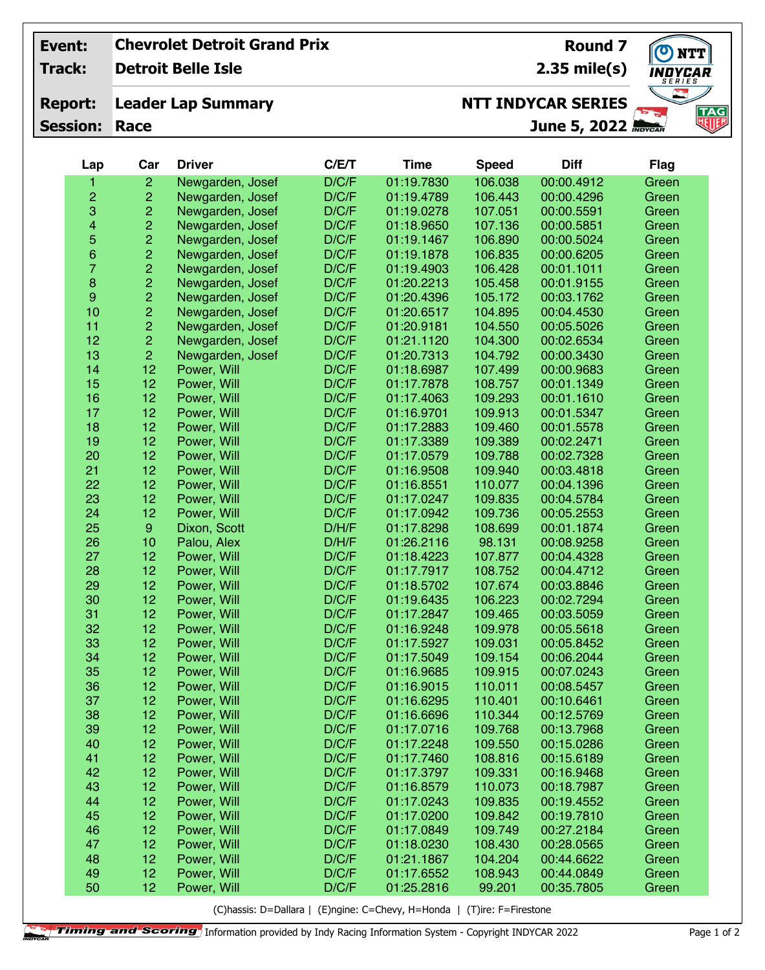## **Chevrolet Detroit Grand Prix Event:**

**Track:**

**Detroit Belle Isle**

## **Leader Lap Summary Report:**

**Session: Race**

**Round 7 2.35 mile(s)**

 $\boldsymbol{\sigma}$ **NTT** NDYCAR **TAG**<br>NUF **June 5, 2022**

## **NTT INDYCAR SERIES**

| Lap                     | Car                     | <b>Driver</b>    | C/E/T | <b>Time</b> | <b>Speed</b> | <b>Diff</b> | <b>Flag</b> |
|-------------------------|-------------------------|------------------|-------|-------------|--------------|-------------|-------------|
| 1                       | $\overline{2}$          | Newgarden, Josef | D/C/F | 01:19.7830  | 106.038      | 00:00.4912  | Green       |
| 2                       | $\overline{c}$          | Newgarden, Josef | D/C/F | 01:19.4789  | 106.443      | 00:00.4296  | Green       |
| 3                       | $\overline{c}$          | Newgarden, Josef | D/C/F | 01:19.0278  | 107.051      | 00:00.5591  | Green       |
| $\overline{\mathbf{4}}$ | $\overline{c}$          | Newgarden, Josef | D/C/F | 01:18.9650  | 107.136      | 00:00.5851  | Green       |
| 5                       |                         | Newgarden, Josef | D/C/F | 01:19.1467  | 106.890      | 00:00.5024  | Green       |
| 6                       | $\frac{2}{2}$           | Newgarden, Josef | D/C/F | 01:19.1878  | 106.835      | 00:00.6205  | Green       |
| $\overline{7}$          | $\overline{c}$          | Newgarden, Josef | D/C/F | 01:19.4903  | 106.428      | 00:01.1011  | Green       |
| $\bf 8$                 | $\overline{c}$          | Newgarden, Josef | D/C/F | 01:20.2213  | 105.458      | 00:01.9155  | Green       |
| $\boldsymbol{9}$        | $\overline{c}$          | Newgarden, Josef | D/C/F | 01:20.4396  | 105.172      | 00:03.1762  | Green       |
| 10                      | $\overline{\mathbf{c}}$ | Newgarden, Josef | D/C/F | 01:20.6517  | 104.895      | 00:04.4530  | Green       |
| 11                      |                         | Newgarden, Josef | D/C/F | 01:20.9181  | 104.550      | 00:05.5026  | Green       |
| 12                      | $\frac{2}{2}$           | Newgarden, Josef | D/C/F | 01:21.1120  | 104.300      | 00:02.6534  | Green       |
| 13                      | $\overline{2}$          | Newgarden, Josef | D/C/F | 01:20.7313  | 104.792      | 00:00.3430  | Green       |
| 14                      | 12                      | Power, Will      | D/C/F | 01:18.6987  | 107.499      | 00:00.9683  | Green       |
| 15                      | 12                      | Power, Will      | D/C/F | 01:17.7878  | 108.757      | 00:01.1349  | Green       |
| 16                      | 12                      | Power, Will      | D/C/F | 01:17.4063  | 109.293      | 00:01.1610  | Green       |
| 17                      | 12                      | Power, Will      | D/C/F | 01:16.9701  | 109.913      | 00:01.5347  | Green       |
| 18                      | 12                      | Power, Will      | D/C/F | 01:17.2883  | 109.460      | 00:01.5578  | Green       |
| 19                      | 12                      | Power, Will      | D/C/F | 01:17.3389  | 109.389      | 00:02.2471  | Green       |
| 20                      | 12                      | Power, Will      | D/C/F | 01:17.0579  | 109.788      | 00:02.7328  | Green       |
| 21                      | 12                      | Power, Will      | D/C/F | 01:16.9508  | 109.940      | 00:03.4818  | Green       |
| 22                      | 12                      | Power, Will      | D/C/F | 01:16.8551  | 110.077      | 00:04.1396  | Green       |
| 23                      | 12                      | Power, Will      | D/C/F | 01:17.0247  | 109.835      | 00:04.5784  | Green       |
| 24                      | 12                      | Power, Will      | D/C/F | 01:17.0942  | 109.736      | 00:05.2553  | Green       |
| 25                      | $\boldsymbol{9}$        | Dixon, Scott     | D/H/F | 01:17.8298  | 108.699      | 00:01.1874  | Green       |
| 26                      | 10                      | Palou, Alex      | D/H/F | 01:26.2116  | 98.131       | 00:08.9258  | Green       |
| 27                      | 12                      | Power, Will      | D/C/F | 01:18.4223  | 107.877      | 00:04.4328  | Green       |
| 28                      | 12                      | Power, Will      | D/C/F | 01:17.7917  | 108.752      | 00:04.4712  | Green       |
| 29                      | 12                      | Power, Will      | D/C/F | 01:18.5702  | 107.674      | 00:03.8846  | Green       |
| 30                      | 12                      | Power, Will      | D/C/F | 01:19.6435  | 106.223      | 00:02.7294  | Green       |
| 31                      | 12                      | Power, Will      | D/C/F | 01:17.2847  | 109.465      | 00:03.5059  | Green       |
| 32                      | 12                      | Power, Will      | D/C/F | 01:16.9248  | 109.978      | 00:05.5618  | Green       |
| 33                      | 12                      | Power, Will      | D/C/F | 01:17.5927  | 109.031      | 00:05.8452  | Green       |
| 34                      | 12                      | Power, Will      | D/C/F | 01:17.5049  | 109.154      | 00:06.2044  | Green       |
| 35                      | 12                      | Power, Will      | D/C/F | 01:16.9685  | 109.915      | 00:07.0243  | Green       |
| 36                      | 12                      | Power, Will      | D/C/F | 01:16.9015  | 110.011      | 00:08.5457  | Green       |
| 37                      | 12                      | Power, Will      | D/C/F | 01:16.6295  | 110.401      | 00:10.6461  | Green       |
| 38                      | 12                      | Power, Will      | D/C/F | 01:16.6696  | 110.344      | 00:12.5769  | Green       |
| 39                      | 12                      | Power, Will      | D/C/F | 01:17.0716  | 109.768      | 00:13.7968  | Green       |
| 40                      | 12 <sub>2</sub>         | Power, Will      | D/C/F | 01:17.2248  | 109.550      | 00:15.0286  | Green       |
| 41                      | 12                      | Power, Will      | D/C/F | 01:17.7460  | 108.816      | 00:15.6189  | Green       |
| 42                      | 12                      | Power, Will      | D/C/F | 01:17.3797  | 109.331      | 00:16.9468  | Green       |
| 43                      | 12                      | Power, Will      | D/C/F | 01:16.8579  | 110.073      | 00:18.7987  | Green       |
| 44                      | 12                      | Power, Will      | D/C/F | 01:17.0243  | 109.835      | 00:19.4552  | Green       |
| 45                      | 12                      | Power, Will      | D/C/F | 01:17.0200  | 109.842      | 00:19.7810  | Green       |
| 46                      | 12                      | Power, Will      | D/C/F | 01:17.0849  | 109.749      | 00:27.2184  | Green       |
| 47                      | 12                      | Power, Will      | D/C/F | 01:18.0230  | 108.430      | 00:28.0565  | Green       |
| 48                      | 12                      | Power, Will      | D/C/F | 01:21.1867  | 104.204      | 00:44.6622  | Green       |
| 49                      | 12                      | Power, Will      | D/C/F | 01:17.6552  | 108.943      | 00:44.0849  | Green       |
| 50                      | 12 <sub>2</sub>         | Power, Will      | D/C/F | 01:25.2816  | 99.201       | 00:35.7805  | Green       |

(C)hassis: D=Dallara | (E)ngine: C=Chevy, H=Honda | (T)ire: F=Firestone